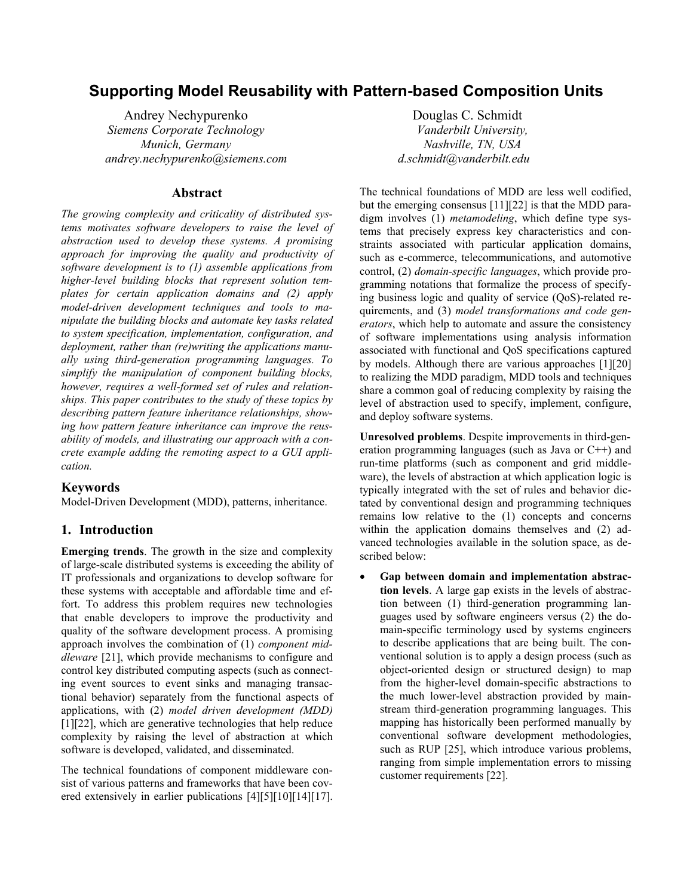# **Supporting Model Reusability with Pattern-based Composition Units**

Andrey Nechypurenko *Siemens Corporate Technology Munich, Germany andrey.nechypurenko@siemens.com*

### **Abstract**

*The growing complexity and criticality of distributed systems motivates software developers to raise the level of abstraction used to develop these systems. A promising approach for improving the quality and productivity of software development is to (1) assemble applications from higher-level building blocks that represent solution templates for certain application domains and (2) apply model-driven development techniques and tools to manipulate the building blocks and automate key tasks related to system specification, implementation, configuration, and deployment, rather than (re)writing the applications manually using third-generation programming languages. To simplify the manipulation of component building blocks, however, requires a well-formed set of rules and relationships. This paper contributes to the study of these topics by describing pattern feature inheritance relationships, showing how pattern feature inheritance can improve the reusability of models, and illustrating our approach with a concrete example adding the remoting aspect to a GUI application.* 

#### **Keywords**

Model-Driven Development (MDD), patterns, inheritance.

### **1. Introduction**

**Emerging trends**. The growth in the size and complexity of large-scale distributed systems is exceeding the ability of IT professionals and organizations to develop software for these systems with acceptable and affordable time and effort. To address this problem requires new technologies that enable developers to improve the productivity and quality of the software development process. A promising approach involves the combination of (1) *component middleware* [21], which provide mechanisms to configure and control key distributed computing aspects (such as connecting event sources to event sinks and managing transactional behavior) separately from the functional aspects of applications, with (2) *model driven development (MDD)* [\[1\]](#page-7-0)[\[22\],](#page-7-1) which are generative technologies that help reduce complexity by raising the level of abstraction at which software is developed, validated, and disseminated.

The technical foundations of component middleware consist of various patterns and frameworks that have been cov-ered extensively in earlier publications [\[4\]](#page-7-2)[\[5\]](#page-7-3)[\[10\]](#page-7-4)[\[14\]](#page-7-5)[\[17\].](#page-7-6)

 Douglas C. Schmidt *Vanderbilt University, Nashville, TN, USA d.schmidt@vanderbilt.edu*

The technical foundations of MDD are less well codified, but the emerging consensus [\[11\]](#page-7-7)[\[22\] i](#page-7-1)s that the MDD paradigm involves (1) *metamodeling*, which define type systems that precisely express key characteristics and constraints associated with particular application domains, such as e-commerce, telecommunications, and automotive control, (2) *domain-specific languages*, which provide programming notations that formalize the process of specifying business logic and quality of service (QoS)-related requirements, and (3) *model transformations and code generators*, which help to automate and assure the consistency of software implementations using analysis information associated with functional and QoS specifications captured by models. Although there are various approaches [\[1\]\[](#page-7-0)[20\]](#page-7-8)  to realizing the MDD paradigm, MDD tools and techniques share a common goal of reducing complexity by raising the level of abstraction used to specify, implement, configure, and deploy software systems.

**Unresolved problems**. Despite improvements in third-generation programming languages (such as Java or C++) and run-time platforms (such as component and grid middleware), the levels of abstraction at which application logic is typically integrated with the set of rules and behavior dictated by conventional design and programming techniques remains low relative to the (1) concepts and concerns within the application domains themselves and (2) advanced technologies available in the solution space, as described below:

• **Gap between domain and implementation abstraction levels**. A large gap exists in the levels of abstraction between (1) third-generation programming languages used by software engineers versus (2) the domain-specific terminology used by systems engineers to describe applications that are being built. The conventional solution is to apply a design process (such as object-oriented design or structured design) to map from the higher-level domain-specific abstractions to the much lower-level abstraction provided by mainstream third-generation programming languages. This mapping has historically been performed manually by conventional software development methodologies, such as RUP [\[25\],](#page-7-9) which introduce various problems, ranging from simple implementation errors to missing customer requirements [22].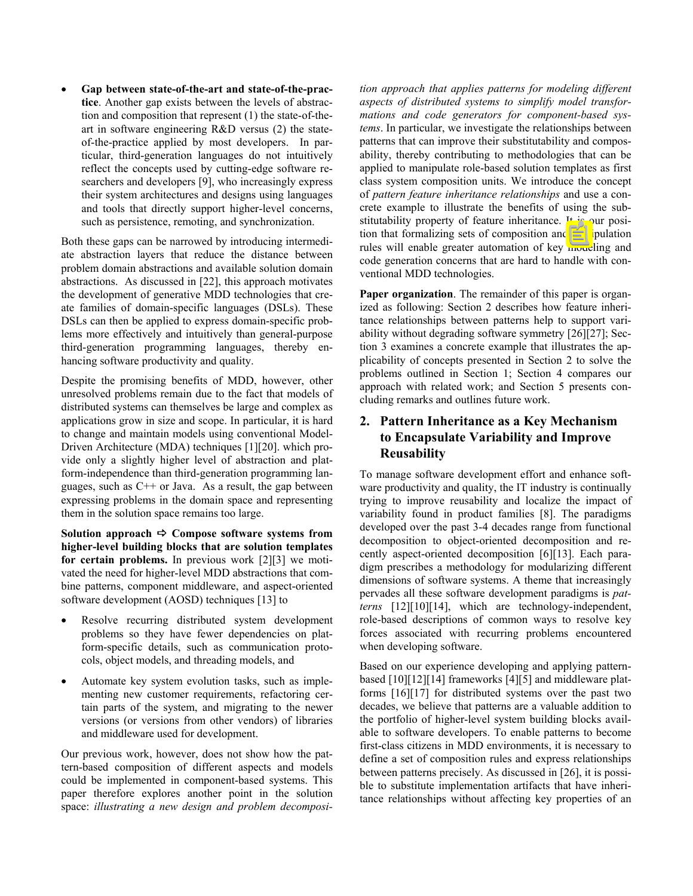• **Gap between state-of-the-art and state-of-the-practice**. Another gap exists between the levels of abstraction and composition that represent (1) the state-of-theart in software engineering R&D versus (2) the stateof-the-practice applied by most developers. In particular, third-generation languages do not intuitively reflect the concepts used by cutting-edge software researchers and developers [\[9\],](#page-7-10) who increasingly express their system architectures and designs using languages and tools that directly support higher-level concerns, such as persistence, remoting, and synchronization.

Both these gaps can be narrowed by introducing intermediate abstraction layers that reduce the distance between problem domain abstractions and available solution domain abstractions. As discussed in [\[22\],](#page-7-1) this approach motivates the development of generative MDD technologies that create families of domain-specific languages (DSLs). These DSLs can then be applied to express domain-specific problems more effectively and intuitively than general-purpose third-generation programming languages, thereby enhancing software productivity and quality.

Despite the promising benefits of MDD, however, other unresolved problems remain due to the fact that models of distributed systems can themselves be large and complex as applications grow in size and scope. In particular, it is hard to change and maintain models using conventional Model-Driven Architecture (MDA) techniques [\[1\]](#page-7-0)[\[20\].](#page-7-8) which provide only a slightly higher level of abstraction and platform-independence than third-generation programming languages, such as C++ or Java. As a result, the gap between expressing problems in the domain space and representing them in the solution space remains too large.

Solution approach  $\Rightarrow$  Compose software systems from **higher-level building blocks that are solution templates for certain problems.** In previous work [\[2\]](#page-7-11)[\[3\]](#page-7-12) we motivated the need for higher-level MDD abstractions that combine patterns, component middleware, and aspect-oriented software development (AOSD) techniques [13] to

- Resolve recurring distributed system development problems so they have fewer dependencies on platform-specific details, such as communication protocols, object models, and threading models, and
- Automate key system evolution tasks, such as implementing new customer requirements, refactoring certain parts of the system, and migrating to the newer versions (or versions from other vendors) of libraries and middleware used for development.

Our previous work, however, does not show how the pattern-based composition of different aspects and models could be implemented in component-based systems. This paper therefore explores another point in the solution space: *illustrating a new design and problem decomposi-* *tion approach that applies patterns for modeling different aspects of distributed systems to simplify model transformations and code generators for component-based systems*. In particular, we investigate the relationships between patterns that can improve their substitutability and composability, thereby contributing to methodologies that can be applied to manipulate role-based solution templates as first class system composition units. We introduce the concept of *pattern feature inheritance relationships* and use a concrete example to illustrate the benefits of using the substitutability property of feature inheritance. It is our position that formalizing sets of composition and manipulation rules will enable greater automation of key modeling and code generation concerns that are hard to handle with conventional MDD technologies.

**Paper organization**. The remainder of this paper is organized as following: Section 2 describes how feature inheritance relationships between patterns help to support variability without degrading software symmetry [\[26\]](#page-7-13)[\[27\];](#page-7-14) Section 3 examines a concrete example that illustrates the applicability of concepts presented in Section 2 to solve the problems outlined in Section 1; Section 4 compares our approach with related work; and Section 5 presents concluding remarks and outlines future work.

## **2. Pattern Inheritance as a Key Mechanism to Encapsulate Variability and Improve Reusability**

To manage software development effort and enhance software productivity and quality, the IT industry is continually trying to improve reusability and localize the impact of variability found in product families [\[8\].](#page-7-15) The paradigms developed over the past 3-4 decades range from functional decomposition to object-oriented decomposition and recently aspect-oriented decomposition [\[6\]](#page-7-16)[\[13\].](#page-7-17) Each paradigm prescribes a methodology for modularizing different dimensions of software systems. A theme that increasingly pervades all these software development paradigms is *patterns* [\[12\]](#page-7-18)[\[10\]\[](#page-7-4)[14\],](#page-7-5) which are technology-independent, role-based descriptions of common ways to resolve key forces associated with recurring problems encountered when developing software.

Based on our experience developing and applying patternbased [\[10\]](#page-7-4)[\[12\]](#page-7-18)[\[14\]](#page-7-5) frameworks [\[4\]](#page-7-2)[\[5\]](#page-7-3) and middleware platforms [\[16\]](#page-7-19)[\[17\]](#page-7-6) for distributed systems over the past two decades, we believe that patterns are a valuable addition to the portfolio of higher-level system building blocks available to software developers. To enable patterns to become first-class citizens in MDD environments, it is necessary to define a set of composition rules and express relationships between patterns precisely. As discussed in [\[26\],](#page-7-13) it is possible to substitute implementation artifacts that have inheritance relationships without affecting key properties of an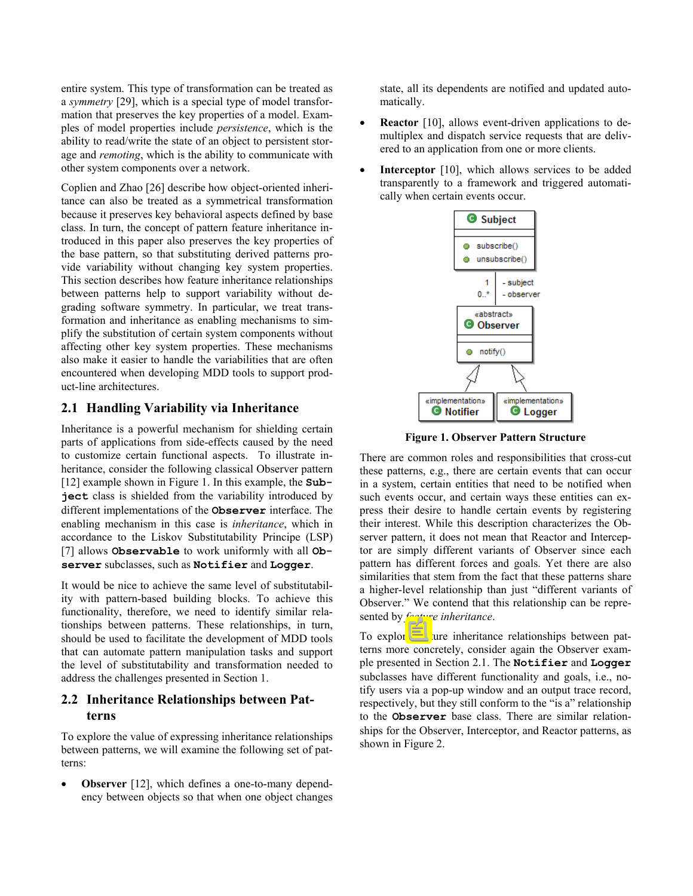entire system. This type of transformation can be treated as a *symmetry* [29], which is a special type of model transformation that [prese](#page-7-20)rves the key properties of a model. Examples of model properties include *persistence*, which is the ability to read/write the state of an object to persistent storage and *remoting*, which is the ability to communicate with other system components over a network.

Coplien and Zhao [\[26\]](#page-7-13) describe how object-oriented inheritance can also be treated as a symmetrical transformation because it preserves key behavioral aspects defined by base class. In turn, the concept of pattern feature inheritance introduced in this paper also preserves the key properties of the base pattern, so that substituting derived patterns provide variability without changing key system properties. This section describes how feature inheritance relationships between patterns help to support variability without degrading software symmetry. In particular, we treat transformation and inheritance as enabling mechanisms to simplify the substitution of certain system components without affecting other key system properties. These mechanisms also make it easier to handle the variabilities that are often encountered when developing MDD tools to support product-line architectures.

### <span id="page-2-0"></span>**2.1 Handling Variability via Inheritance**

Inheritance is a powerful mechanism for shielding certain parts of applications from side-effects caused by the need to customize certain functional aspects. To illustrate inheritance, consider the following classical Observer pattern [\[12\]](#page-7-18) example shown in Figure 1. In this example, the **Subject** class is shielded from the variability introduced by different implementations of the **Observer** interface. The enabling mechanism in this case is *inheritance*, which in accordance to the Liskov Substitutability Principe (LSP) [\[7\]](#page-7-21) allows **Observable** to work uniformly with all **Observer** subclasses, such as **Notifier** and **Logger**.

It would be nice to achieve the same level of substitutability with pattern-based building blocks. To achieve this functionality, therefore, we need to identify similar relationships between patterns. These relationships, in turn, should be used to facilitate the development of MDD tools that can automate pattern manipulation tasks and support the level of substitutability and transformation needed to address the challenges presented in Section 1.

## **2.2 Inheritance Relationships between Patterns**

To explore the value of expressing inheritance relationships between patterns, we will examine the following set of patterns:

**Observer** [12], which defines a one-to-many dependency between objects so that when one object changes state, all its dependents are notified and updated automatically.

- **Reactor** [\[10\],](#page-7-4) allows event-driven applications to demultiplex and dispatch service requests that are delivered to an application from one or more clients.
- **Interceptor** [\[10\],](#page-7-4) which allows services to be added transparently to a framework and triggered automatically when certain events occur.



**Figure 1. Observer Pattern Structure** 

There are common roles and responsibilities that cross-cut these patterns, e.g., there are certain events that can occur in a system, certain entities that need to be notified when such events occur, and certain ways these entities can express their desire to handle certain events by registering their interest. While this description characterizes the Observer pattern, it does not mean that Reactor and Interceptor are simply different variants of Observer since each pattern has different forces and goals. Yet there are also similarities that stem from the fact that these patterns share a higher-level relationship than just "different variants of Observer." We contend that this relationship can be represented by *feature inheritance*.

To explore feature inheritance relationships between patterns more concretely, consider again the Observer example presented in Section [2.1.](#page-2-0) The **Notifier** and **Logger** subclasses have different functionality and goals, i.e., notify users via a pop-up window and an output trace record, respectively, but they still conform to the "is a" relationship to the **Observer** base class. There are similar relationships for the Observer, Interceptor, and Reactor patterns, as shown in Figure 2.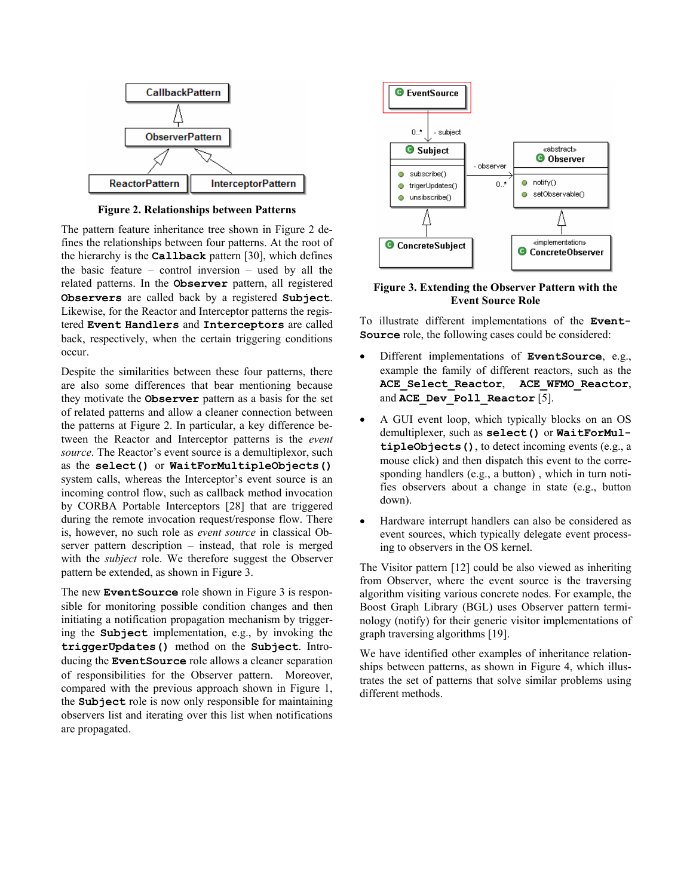

**Figure 2. Relationships between Patterns** 

The pattern feature inheritance tree shown in Figure 2 defines the relationships between four patterns. At the root of the hierarchy is the **Callback** pattern [30], which defines the basic feature – control inversion – used by all the related patterns. In the **Observer** pattern, all registered **Observers** are called back by a registered **Subject**. Likewise, for the Reactor and Interceptor patterns the registered **Event Handlers** and **Interceptors** are called back, respectively, when the certain triggering conditions occur.

Despite the similarities between these four patterns, there are also some differences that bear mentioning because they motivate the **Observer** pattern as a basis for the set of related patterns and allow a cleaner connection between the patterns at Figure 2. In particular, a key difference between the Reactor and Interceptor patterns is the *event source*. The Reactor's event source is a demultiplexor, such as the **select()** or **WaitForMultipleObjects()** system calls, whereas the Interceptor's event source is an incoming control flow, such as callback method invocation by CORBA Portable Interceptors [28] that are triggered during the remote invocation request/response flow. There is, however, no such role as *event source* in classical Observer pattern description – instead, that role is merged with the *subject* role. We therefore suggest the Observer pattern be extended, as shown in Figure 3.

The new **EventSource** role shown in Figure 3 is responsible for monitoring possible condition changes and then initiating a notification propagation mechanism by triggering the **Subject** implementation, e.g., by invoking the **triggerUpdates()** method on the **Subject**. Introducing the **EventSource** role allows a cleaner separation of responsibilities for the Observer pattern. Moreover, compared with the previous approach shown in Figure 1, the **Subject** role is now only responsible for maintaining observers list and iterating over this list when notifications are propagated.



**Figure 3. Extending the Observer Pattern with the Event Source Role** 

To illustrate different implementations of the **Event-Source** role, the following cases could be considered:

- Different implementations of **EventSource**, e.g., example the family of different reactors, such as the **ACE\_Select\_Reactor**, **ACE\_WFMO\_Reactor**, and **ACE** Dev Poll Reactor [\[5\].](#page-7-3)
- A GUI event loop, which typically blocks on an OS demultiplexer, such as **select()** or **WaitForMultipleObjects()**, to detect incoming events (e.g., a mouse click) and then dispatch this event to the corresponding handlers (e.g., a button) , which in turn notifies observers about a change in state (e.g., button down).
- Hardware interrupt handlers can also be considered as event sources, which typically delegate event processing to observers in the OS kernel.

The Visitor pattern [\[12\]](#page-7-18) could be also viewed as inheriting from Observer, where the event source is the traversing algorithm visiting various concrete nodes. For example, the Boost Graph Library (BGL) uses Observer pattern terminology (notify) for their generic visitor implementations of graph traversing algorithms [\[19\].](#page-7-22)

We have identified other examples of inheritance relationships between patterns, as shown in Figure 4, which illustrates the set of patterns that solve similar problems using different methods.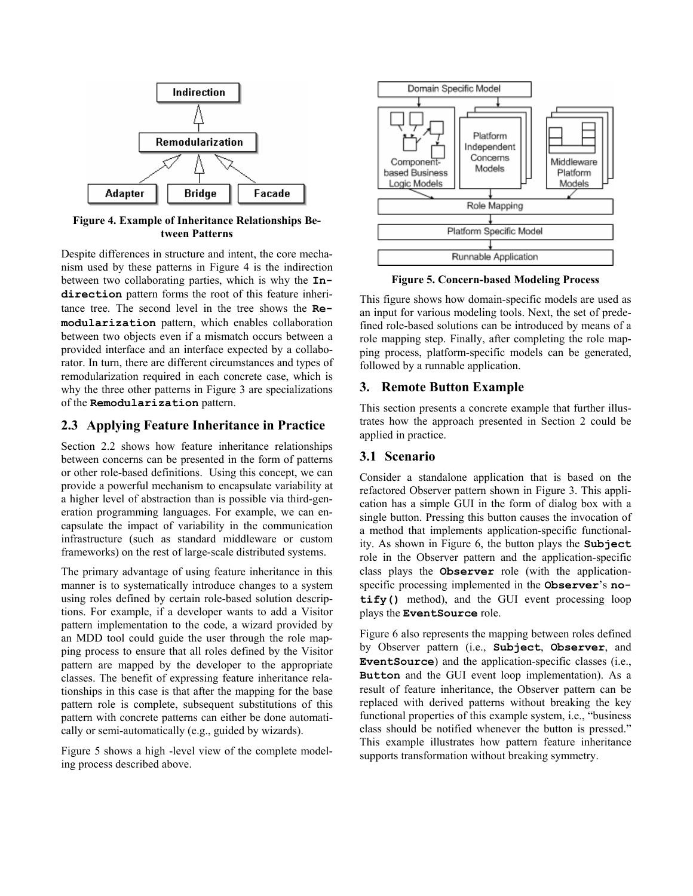

**Figure 4. Example of Inheritance Relationships Between Patterns** 

Despite differences in structure and intent, the core mechanism used by these patterns in Figure 4 is the indirection between two collaborating parties, which is why the **Indirection** pattern forms the root of this feature inheritance tree. The second level in the tree shows the **Remodularization** pattern, which enables collaboration between two objects even if a mismatch occurs between a provided interface and an interface expected by a collaborator. In turn, there are different circumstances and types of remodularization required in each concrete case, which is why the three other patterns in Figure 3 are specializations of the **Remodularization** pattern.

### **2.3 Applying Feature Inheritance in Practice**

Section 2.2 shows how feature inheritance relationships between concerns can be presented in the form of patterns or other role-based definitions. Using this concept, we can provide a powerful mechanism to encapsulate variability at a higher level of abstraction than is possible via third-generation programming languages. For example, we can encapsulate the impact of variability in the communication infrastructure (such as standard middleware or custom frameworks) on the rest of large-scale distributed systems.

The primary advantage of using feature inheritance in this manner is to systematically introduce changes to a system using roles defined by certain role-based solution descriptions. For example, if a developer wants to add a Visitor pattern implementation to the code, a wizard provided by an MDD tool could guide the user through the role mapping process to ensure that all roles defined by the Visitor pattern are mapped by the developer to the appropriate classes. The benefit of expressing feature inheritance relationships in this case is that after the mapping for the base pattern role is complete, subsequent substitutions of this pattern with concrete patterns can either be done automatically or semi-automatically (e.g., guided by wizards).

Figure 5 shows a high -level view of the complete model-<br>supports transformation without breaking symmetry. ing process described above.



**Figure 5. Concern-based Modeling Process** 

This figure shows how domain-specific models are used as an input for various modeling tools. Next, the set of predefined role-based solutions can be introduced by means of a role mapping step. Finally, after completing the role mapping process, platform-specific models can be generated, followed by a runnable application.

### **3. Remote Button Example**

This section presents a concrete example that further illustrates how the approach presented in Section 2 could be applied in practice.

## **3.1 Scenario**

Consider a standalone application that is based on the refactored Observer pattern shown in Figure 3. This application has a simple GUI in the form of dialog box with a single button. Pressing this button causes the invocation of a method that implements application-specific functionality. As shown in Figure 6, the button plays the **Subject** role in the Observer pattern and the application-specific class plays the **Observer** role (with the applicationspecific processing implemented in the **Observer**'s **notify()** method), and the GUI event processing loop plays the **EventSource** role.

Figure 6 also represents the mapping between roles defined by Observer pattern (i.e., **Subject**, **Observer**, and **EventSource**) and the application-specific classes (i.e., **Button** and the GUI event loop implementation). As a result of feature inheritance, the Observer pattern can be replaced with derived patterns without breaking the key functional properties of this example system, i.e., "business class should be notified whenever the button is pressed." This example illustrates how pattern feature inheritance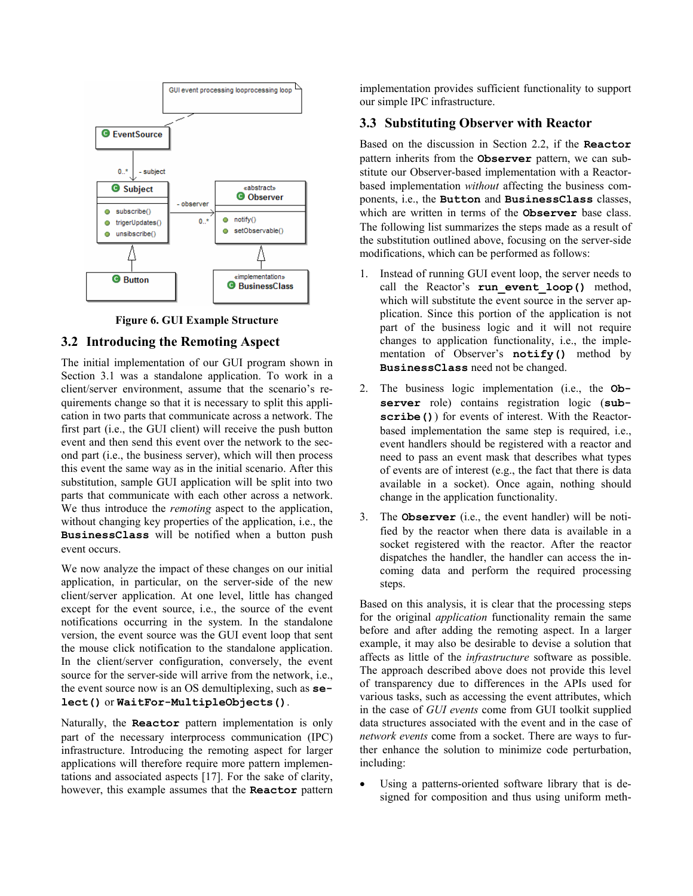

**Figure 6. GUI Example Structure** 

### **3.2 Introducing the Remoting Aspect**

The initial implementation of our GUI program shown in Section 3.1 was a standalone application. To work in a client/server environment, assume that the scenario's requirements change so that it is necessary to split this application in two parts that communicate across a network. The first part (i.e., the GUI client) will receive the push button event and then send this event over the network to the second part (i.e., the business server), which will then process this event the same way as in the initial scenario. After this substitution, sample GUI application will be split into two parts that communicate with each other across a network. We thus introduce the *remoting* aspect to the application, without changing key properties of the application, i.e., the **BusinessClass** will be notified when a button push event occurs.

We now analyze the impact of these changes on our initial application, in particular, on the server-side of the new client/server application. At one level, little has changed except for the event source, i.e., the source of the event notifications occurring in the system. In the standalone version, the event source was the GUI event loop that sent the mouse click notification to the standalone application. In the client/server configuration, conversely, the event source for the server-side will arrive from the network, i.e., the event source now is an OS demultiplexing, such as **select()** or **WaitFor-MultipleObjects()**.

#### Naturally, the **Reactor** pattern implementation is only part of the necessary interprocess communication (IPC) infrastructure. Introducing the remoting aspect for larger applications will therefore require more pattern implementations and associated aspects [\[17\].](#page-7-6) For the sake of clarity, however, this example assumes that the **Reactor** pattern

implementation provides sufficient functionality to support our simple IPC infrastructure.

## **3.3 Substituting Observer with Reactor**

Based on the discussion in Section 2.2, if the **Reactor** pattern inherits from the **Observer** pattern, we can substitute our Observer-based implementation with a Reactorbased implementation *without* affecting the business components, i.e., the **Button** and **BusinessClass** classes, which are written in terms of the **Observer** base class. The following list summarizes the steps made as a result of the substitution outlined above, focusing on the server-side modifications, which can be performed as follows:

- 1. Instead of running GUI event loop, the server needs to call the Reactor's **run\_event\_loop()** method, which will substitute the event source in the server application. Since this portion of the application is not part of the business logic and it will not require changes to application functionality, i.e., the implementation of Observer's **notify()** method by **BusinessClass** need not be changed.
- 2. The business logic implementation (i.e., the **Observer** role) contains registration logic (**subscribe()**) for events of interest. With the Reactorbased implementation the same step is required, i.e., event handlers should be registered with a reactor and need to pass an event mask that describes what types of events are of interest (e.g., the fact that there is data available in a socket). Once again, nothing should change in the application functionality.
- 3. The **Observer** (i.e., the event handler) will be notified by the reactor when there data is available in a socket registered with the reactor. After the reactor dispatches the handler, the handler can access the incoming data and perform the required processing steps.

Based on this analysis, it is clear that the processing steps for the original *application* functionality remain the same before and after adding the remoting aspect. In a larger example, it may also be desirable to devise a solution that affects as little of the *infrastructure* software as possible. The approach described above does not provide this level of transparency due to differences in the APIs used for various tasks, such as accessing the event attributes, which in the case of *GUI events* come from GUI toolkit supplied data structures associated with the event and in the case of *network events* come from a socket. There are ways to further enhance the solution to minimize code perturbation, including:

Using a patterns-oriented software library that is designed for composition and thus using uniform meth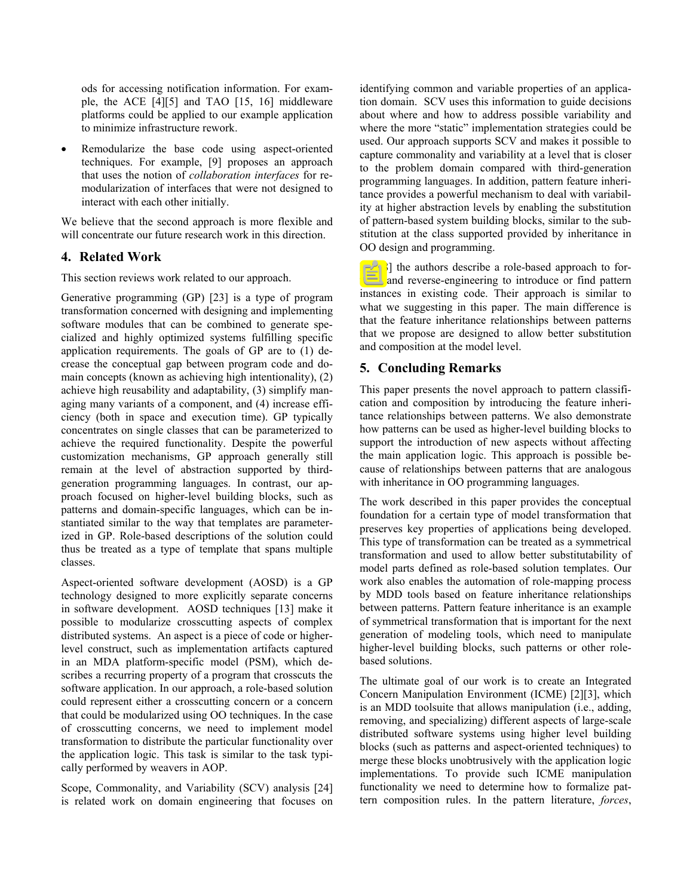ods for accessing notification information. For example, the ACE [4][5] and TAO [15, 16] middleware platforms coul[d be](#page-7-2) [ap](#page-7-3)plied to our example application to minimize infrastructure rework.

Remodularize the base code using aspect-oriented techniques. For example, [\[9\]](#page-7-10) proposes an approach that uses the notion of *collaboration interfaces* for remodularization of interfaces that were not designed to interact with each other initially.

We believe that the second approach is more flexible and will concentrate our future research work in this direction.

### **4. Related Work**

This section reviews work related to our approach.

Generative programming (GP) [23] is a type of program transformation concerned with designing and implementing software modules that can be combined to generate specialized and highly optimized systems fulfilling specific application requirements. The goals of GP are to (1) decrease the conceptual gap between program code and domain concepts (known as achieving high intentionality), (2) achieve high reusability and adaptability, (3) simplify managing many variants of a component, and (4) increase efficiency (both in space and execution time). GP typically concentrates on single classes that can be parameterized to achieve the required functionality. Despite the powerful customization mechanisms, GP approach generally still remain at the level of abstraction supported by thirdgeneration programming languages. In contrast, our approach focused on higher-level building blocks, such as patterns and domain-specific languages, which can be instantiated similar to the way that templates are parameterized in GP. Role-based descriptions of the solution could thus be treated as a type of template that spans multiple classes.

Aspect-oriented software development (AOSD) is a GP technology designed to more explicitly separate concerns in software development. AOSD techniques [13] make it possible to modularize crosscutting aspects of complex distributed systems. An aspect is a piece of code or higherlevel construct, such as implementation artifacts captured in an MDA platform-specific model (PSM), which describes a recurring property of a program that crosscuts the software application. In our approach, a role-based solution could represent either a crosscutting concern or a concern that could be modularized using OO techniques. In the case of crosscutting concerns, we need to implement model transformation to distribute the particular functionality over the application logic. This task is similar to the task typically performed by weavers in AOP.

Scope, Commonality, and Variability (SCV) analysis [24] is related work on domain engineering that focuses on

identifying common and variable properties of an application domain. SCV uses this information to guide decisions about where and how to address possible variability and where the more "static" implementation strategies could be used. Our approach supports SCV and makes it possible to capture commonality and variability at a level that is closer to the problem domain compared with third-generation programming languages. In addition, pattern feature inheritance provides a powerful mechanism to deal with variability at higher abstraction levels by enabling the substitution of pattern-based system building blocks, similar to the substitution at the class supported provided by inheritance in OO design and programming.

In [\[18\]](#page-7-23) the authors describe a role-based approach to forward and reverse-engineering to introduce or find pattern instances in existing code. Their approach is similar to what we suggesting in this paper. The main difference is that the feature inheritance relationships between patterns that we propose are designed to allow better substitution and composition at the model level.

## **5. Concluding Remarks**

This paper presents the novel approach to pattern classification and composition by introducing the feature inheritance relationships between patterns. We also demonstrate how patterns can be used as higher-level building blocks to support the introduction of new aspects without affecting the main application logic. This approach is possible because of relationships between patterns that are analogous with inheritance in OO programming languages.

The work described in this paper provides the conceptual foundation for a certain type of model transformation that preserves key properties of applications being developed. This type of transformation can be treated as a symmetrical transformation and used to allow better substitutability of model parts defined as role-based solution templates. Our work also enables the automation of role-mapping process by MDD tools based on feature inheritance relationships between patterns. Pattern feature inheritance is an example of symmetrical transformation that is important for the next generation of modeling tools, which need to manipulate higher-level building blocks, such patterns or other rolebased solutions.

The ultimate goal of our work is to create an Integrated Concern Manipulation Environment (ICME) [\[2\]](#page-7-11)[\[3\],](#page-7-12) which is an MDD toolsuite that allows manipulation (i.e., adding, removing, and specializing) different aspects of large-scale distributed software systems using higher level building blocks (such as patterns and aspect-oriented techniques) to merge these blocks unobtrusively with the application logic implementations. To provide such ICME manipulation functionality we need to determine how to formalize pattern composition rules. In the pattern literature, *forces*,